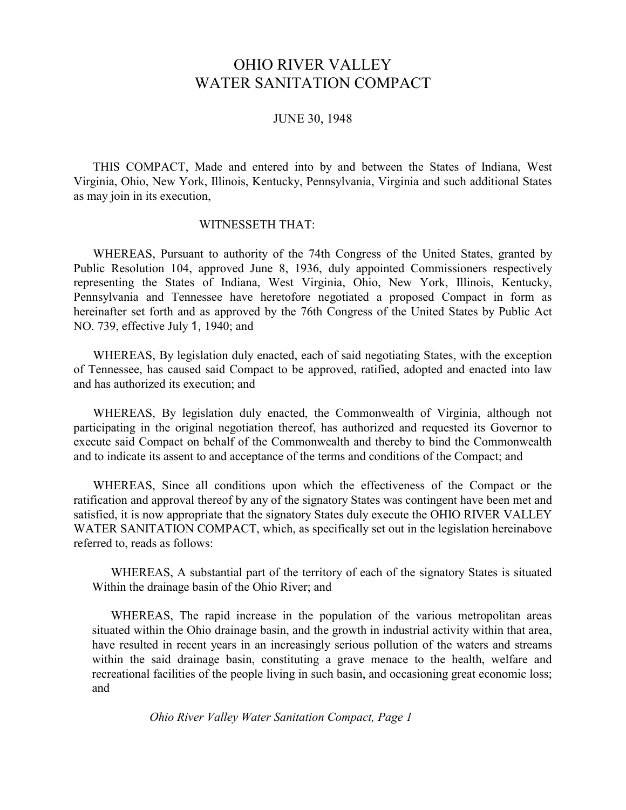# OHIO RIVER VALLEY WATER SANITATION COMPACT

# JUNE 30, 1948

 THIS COMPACT, Made and entered into by and between the States of Indiana, West Virginia, Ohio, New York, Illinois, Kentucky, Pennsylvania, Virginia and such additional States as may join in its execution,

### WITNESSETH THAT:

WHEREAS, Pursuant to authority of the 74th Congress of the United States, granted by Public Resolution 104, approved June 8, 1936, duly appointed Commissioners respectively representing the States of Indiana, West Virginia, Ohio, New York, Illinois, Kentucky, Pennsylvania and Tennessee have heretofore negotiated a proposed Compact in form as hereinafter set forth and as approved by the 76th Congress of the United States by Public Act NO. 739, effective July 1, 1940; and

WHEREAS, By legislation duly enacted, each of said negotiating States, with the exception of Tennessee, has caused said Compact to be approved, ratified, adopted and enacted into law and has authorized its execution; and

WHEREAS, By legislation duly enacted, the Commonwealth of Virginia, although not participating in the original negotiation thereof, has authorized and requested its Governor to execute said Compact on behalf of the Commonwealth and thereby to bind the Commonwealth and to indicate its assent to and acceptance of the terms and conditions of the Compact; and

WHEREAS, Since all conditions upon which the effectiveness of the Compact or the ratification and approval thereof by any of the signatory States was contingent have been met and satisfied, it is now appropriate that the signatory States duly execute the OHIO RIVER VALLEY WATER SANITATION COMPACT, which, as specifically set out in the legislation hereinabove referred to, reads as follows:

WHEREAS, A substantial part of the territory of each of the signatory States is situated Within the drainage basin of the Ohio River; and

WHEREAS, The rapid increase in the population of the various metropolitan areas situated within the Ohio drainage basin, and the growth in industrial activity within that area, have resulted in recent years in an increasingly serious pollution of the waters and streams within the said drainage basin, constituting a grave menace to the health, welfare and recreational facilities of the people living in such basin, and occasioning great economic loss; and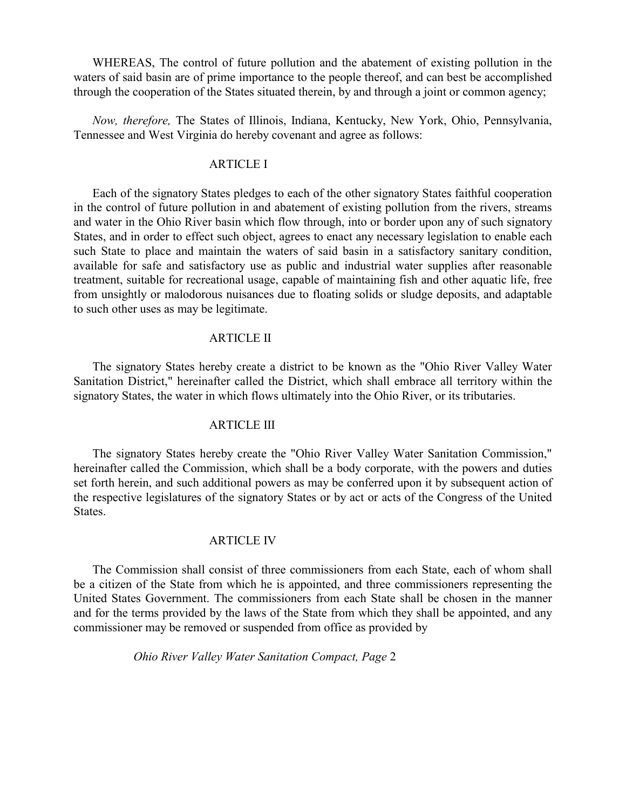WHEREAS, The control of future pollution and the abatement of existing pollution in the waters of said basin are of prime importance to the people thereof, and can best be accomplished through the cooperation of the States situated therein, by and through a joint or common agency;

*Now, therefore,* The States of Illinois, Indiana, Kentucky, New York, Ohio, Pennsylvania, Tennessee and West Virginia do hereby covenant and agree as follows:

# ARTICLE I

Each of the signatory States pledges to each of the other signatory States faithful cooperation in the control of future pollution in and abatement of existing pollution from the rivers, streams and water in the Ohio River basin which flow through, into or border upon any of such signatory States, and in order to effect such object, agrees to enact any necessary legislation to enable each such State to place and maintain the waters of said basin in a satisfactory sanitary condition, available for safe and satisfactory use as public and industrial water supplies after reasonable treatment, suitable for recreational usage, capable of maintaining fish and other aquatic life, free from unsightly or malodorous nuisances due to floating solids or sludge deposits, and adaptable to such other uses as may be legitimate.

#### ARTICLE II

The signatory States hereby create a district to be known as the "Ohio River Valley Water Sanitation District," hereinafter called the District, which shall embrace all territory within the signatory States, the water in which flows ultimately into the Ohio River, or its tributaries.

### ARTICLE III

The signatory States hereby create the "Ohio River Valley Water Sanitation Commission," hereinafter called the Commission, which shall be a body corporate, with the powers and duties set forth herein, and such additional powers as may be conferred upon it by subsequent action of the respective legislatures of the signatory States or by act or acts of the Congress of the United States.

### ARTICLE IV

The Commission shall consist of three commissioners from each State, each of whom shall be a citizen of the State from which he is appointed, and three commissioners representing the United States Government. The commissioners from each State shall be chosen in the manner and for the terms provided by the laws of the State from which they shall be appointed, and any commissioner may be removed or suspended from office as provided by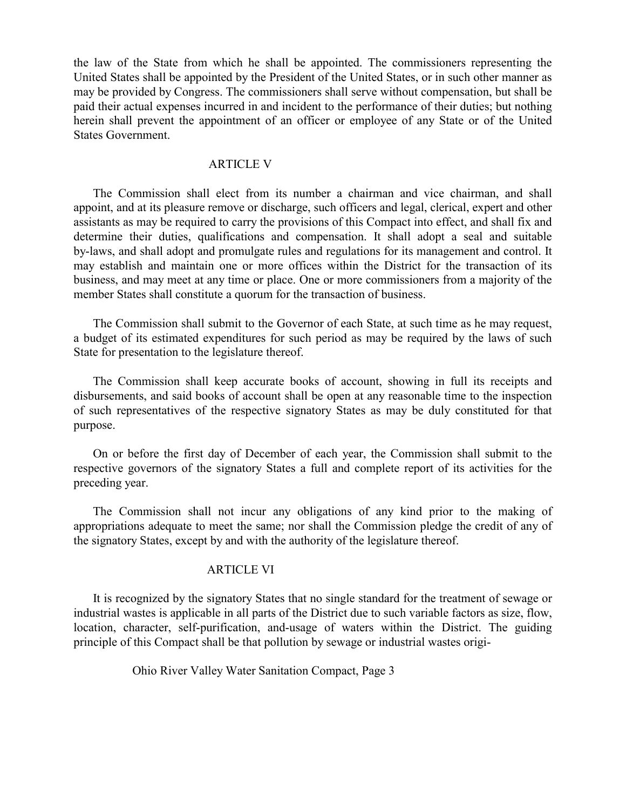the law of the State from which he shall be appointed. The commissioners representing the United States shall be appointed by the President of the United States, or in such other manner as may be provided by Congress. The commissioners shall serve without compensation, but shall be paid their actual expenses incurred in and incident to the performance of their duties; but nothing herein shall prevent the appointment of an officer or employee of any State or of the United States Government.

#### ARTICLE V

The Commission shall elect from its number a chairman and vice chairman, and shall appoint, and at its pleasure remove or discharge, such officers and legal, clerical, expert and other assistants as may be required to carry the provisions of this Compact into effect, and shall fix and determine their duties, qualifications and compensation. It shall adopt a seal and suitable by-laws, and shall adopt and promulgate rules and regulations for its management and control. It may establish and maintain one or more offices within the District for the transaction of its business, and may meet at any time or place. One or more commissioners from a majority of the member States shall constitute a quorum for the transaction of business.

The Commission shall submit to the Governor of each State, at such time as he may request, a budget of its estimated expenditures for such period as may be required by the laws of such State for presentation to the legislature thereof.

The Commission shall keep accurate books of account, showing in full its receipts and disbursements, and said books of account shall be open at any reasonable time to the inspection of such representatives of the respective signatory States as may be duly constituted for that purpose.

On or before the first day of December of each year, the Commission shall submit to the respective governors of the signatory States a full and complete report of its activities for the preceding year.

The Commission shall not incur any obligations of any kind prior to the making of appropriations adequate to meet the same; nor shall the Commission pledge the credit of any of the signatory States, except by and with the authority of the legislature thereof.

### ARTICLE VI

It is recognized by the signatory States that no single standard for the treatment of sewage or industrial wastes is applicable in all parts of the District due to such variable factors as size, flow, location, character, self-purification, and-usage of waters within the District. The guiding principle of this Compact shall be that pollution by sewage or industrial wastes origi-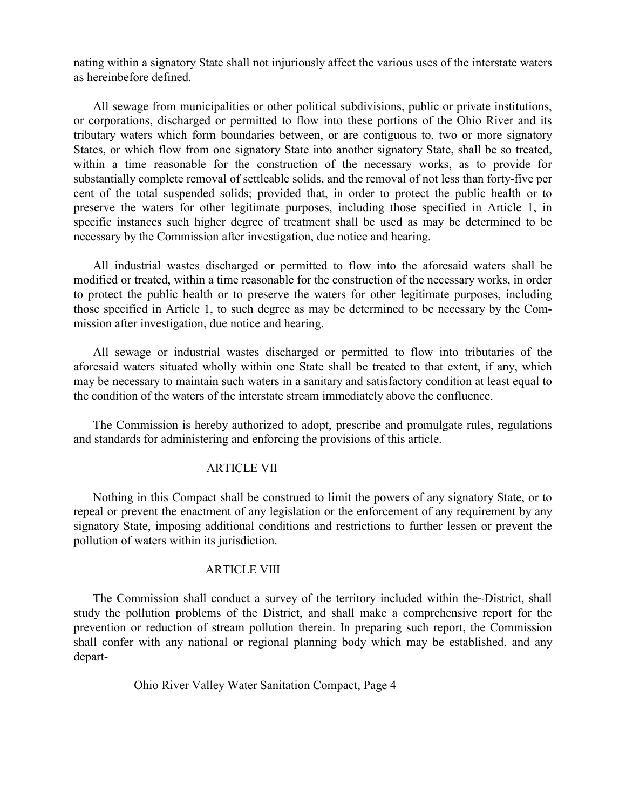nating within a signatory State shall not injuriously affect the various uses of the interstate waters as hereinbefore defined.

All sewage from municipalities or other political subdivisions, public or private institutions, or corporations, discharged or permitted to flow into these portions of the Ohio River and its tributary waters which form boundaries between, or are contiguous to, two or more signatory States, or which flow from one signatory State into another signatory State, shall be so treated, within a time reasonable for the construction of the necessary works, as to provide for substantially complete removal of settleable solids, and the removal of not less than forty-five per cent of the total suspended solids; provided that, in order to protect the public health or to preserve the waters for other legitimate purposes, including those specified in Article 1, in specific instances such higher degree of treatment shall be used as may be determined to be necessary by the Commission after investigation, due notice and hearing.

All industrial wastes discharged or permitted to flow into the aforesaid waters shall be modified or treated, within a time reasonable for the construction of the necessary works, in order to protect the public health or to preserve the waters for other legitimate purposes, including those specified in Article 1, to such degree as may be determined to be necessary by the Commission after investigation, due notice and hearing.

All sewage or industrial wastes discharged or permitted to flow into tributaries of the aforesaid waters situated wholly within one State shall be treated to that extent, if any, which may be necessary to maintain such waters in a sanitary and satisfactory condition at least equal to the condition of the waters of the interstate stream immediately above the confluence.

The Commission is hereby authorized to adopt, prescribe and promulgate rules, regulations and standards for administering and enforcing the provisions of this article.

# ARTICLE VII

Nothing in this Compact shall be construed to limit the powers of any signatory State, or to repeal or prevent the enactment of any legislation or the enforcement of any requirement by any signatory State, imposing additional conditions and restrictions to further lessen or prevent the pollution of waters within its jurisdiction.

### ARTICLE VIII

The Commission shall conduct a survey of the territory included within the~District, shall study the pollution problems of the District, and shall make a comprehensive report for the prevention or reduction of stream pollution therein. In preparing such report, the Commission shall confer with any national or regional planning body which may be established, and any depart-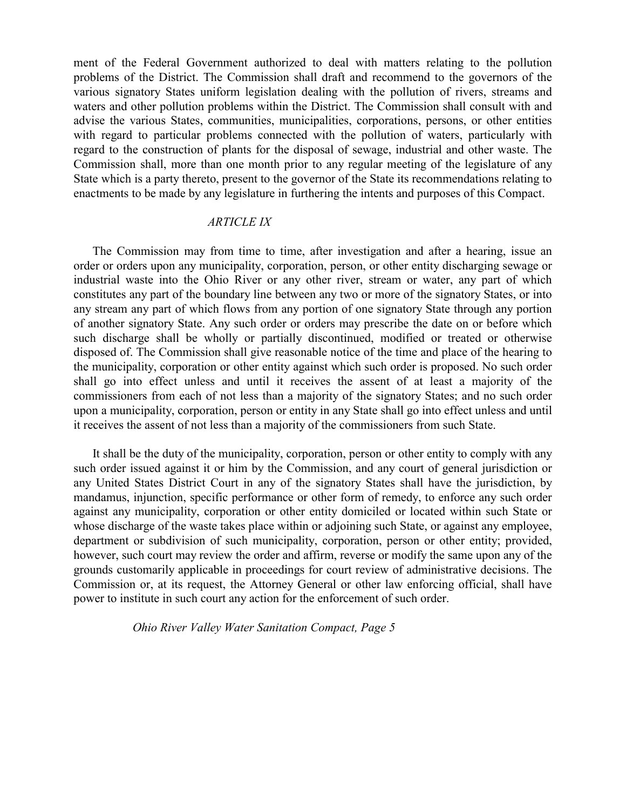ment of the Federal Government authorized to deal with matters relating to the pollution problems of the District. The Commission shall draft and recommend to the governors of the various signatory States uniform legislation dealing with the pollution of rivers, streams and waters and other pollution problems within the District. The Commission shall consult with and advise the various States, communities, municipalities, corporations, persons, or other entities with regard to particular problems connected with the pollution of waters, particularly with regard to the construction of plants for the disposal of sewage, industrial and other waste. The Commission shall, more than one month prior to any regular meeting of the legislature of any State which is a party thereto, present to the governor of the State its recommendations relating to enactments to be made by any legislature in furthering the intents and purposes of this Compact.

## *ARTICLE IX*

The Commission may from time to time, after investigation and after a hearing, issue an order or orders upon any municipality, corporation, person, or other entity discharging sewage or industrial waste into the Ohio River or any other river, stream or water, any part of which constitutes any part of the boundary line between any two or more of the signatory States, or into any stream any part of which flows from any portion of one signatory State through any portion of another signatory State. Any such order or orders may prescribe the date on or before which such discharge shall be wholly or partially discontinued, modified or treated or otherwise disposed of. The Commission shall give reasonable notice of the time and place of the hearing to the municipality, corporation or other entity against which such order is proposed. No such order shall go into effect unless and until it receives the assent of at least a majority of the commissioners from each of not less than a majority of the signatory States; and no such order upon a municipality, corporation, person or entity in any State shall go into effect unless and until it receives the assent of not less than a majority of the commissioners from such State.

It shall be the duty of the municipality, corporation, person or other entity to comply with any such order issued against it or him by the Commission, and any court of general jurisdiction or any United States District Court in any of the signatory States shall have the jurisdiction, by mandamus, injunction, specific performance or other form of remedy, to enforce any such order against any municipality, corporation or other entity domiciled or located within such State or whose discharge of the waste takes place within or adjoining such State, or against any employee, department or subdivision of such municipality, corporation, person or other entity; provided, however, such court may review the order and affirm, reverse or modify the same upon any of the grounds customarily applicable in proceedings for court review of administrative decisions. The Commission or, at its request, the Attorney General or other law enforcing official, shall have power to institute in such court any action for the enforcement of such order.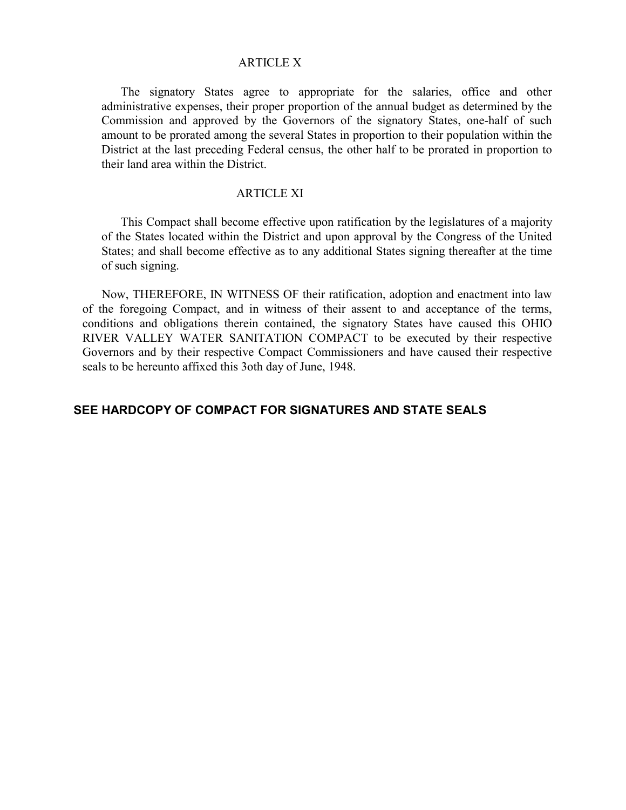#### ARTICLE X

The signatory States agree to appropriate for the salaries, office and other administrative expenses, their proper proportion of the annual budget as determined by the Commission and approved by the Governors of the signatory States, one-half of such amount to be prorated among the several States in proportion to their population within the District at the last preceding Federal census, the other half to be prorated in proportion to their land area within the District.

# ARTICLE XI

This Compact shall become effective upon ratification by the legislatures of a majority of the States located within the District and upon approval by the Congress of the United States; and shall become effective as to any additional States signing thereafter at the time of such signing.

Now, THEREFORE, IN WITNESS OF their ratification, adoption and enactment into law of the foregoing Compact, and in witness of their assent to and acceptance of the terms, conditions and obligations therein contained, the signatory States have caused this OHIO RIVER VALLEY WATER SANITATION COMPACT to be executed by their respective Governors and by their respective Compact Commissioners and have caused their respective seals to be hereunto affixed this 3oth day of June, 1948.

# **SEE HARDCOPY OF COMPACT FOR SIGNATURES AND STATE SEALS**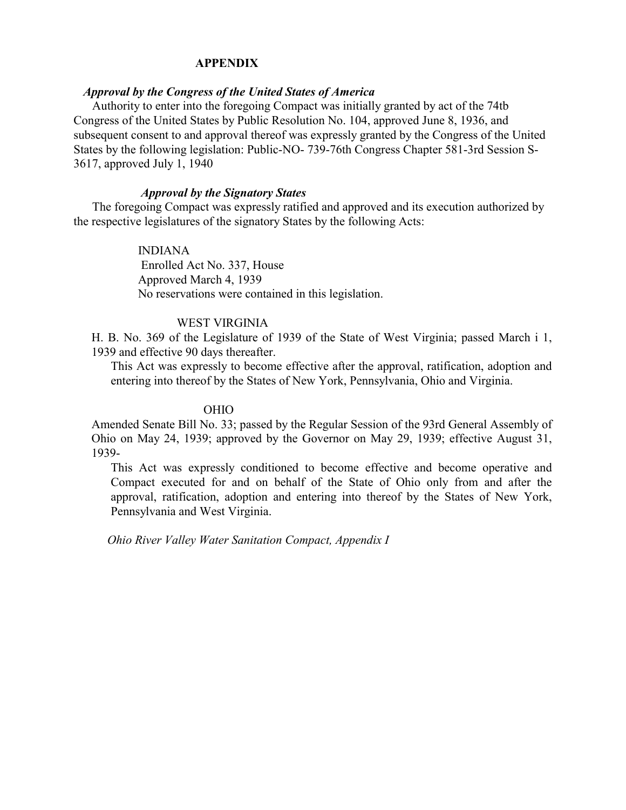# **APPENDIX**

# *Approval by the Congress of the United States of America*

Authority to enter into the foregoing Compact was initially granted by act of the 74tb Congress of the United States by Public Resolution No. 104, approved June 8, 1936, and subsequent consent to and approval thereof was expressly granted by the Congress of the United States by the following legislation: Public-NO- 739-76th Congress Chapter 581-3rd Session S-3617, approved July 1, 1940

# *Approval by the Signatory States*

The foregoing Compact was expressly ratified and approved and its execution authorized by the respective legislatures of the signatory States by the following Acts:

# INDIANA

 Enrolled Act No. 337, House Approved March 4, 1939 No reservations were contained in this legislation.

## WEST VIRGINIA

H. B. No. 369 of the Legislature of 1939 of the State of West Virginia; passed March i 1, 1939 and effective 90 days thereafter.

This Act was expressly to become effective after the approval, ratification, adoption and entering into thereof by the States of New York, Pennsylvania, Ohio and Virginia.

# OHIO

Amended Senate Bill No. 33; passed by the Regular Session of the 93rd General Assembly of Ohio on May 24, 1939; approved by the Governor on May 29, 1939; effective August 31, 1939-

This Act was expressly conditioned to become effective and become operative and Compact executed for and on behalf of the State of Ohio only from and after the approval, ratification, adoption and entering into thereof by the States of New York, Pennsylvania and West Virginia.

*Ohio River Valley Water Sanitation Compact, Appendix I*